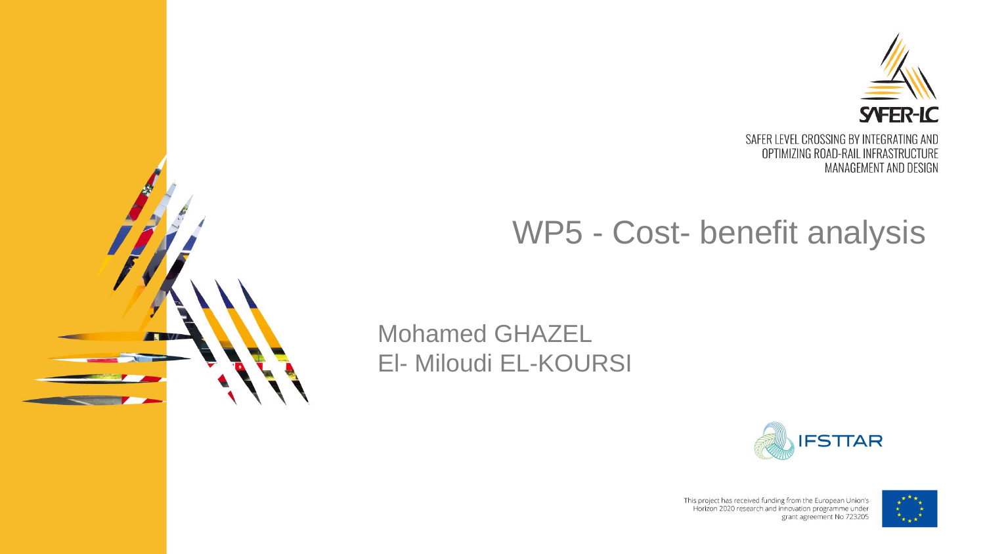

## WP5 - Cost- benefit analysis

### Mohamed GHAZEL El- Miloudi EL-KOURSI





This project has received funding from the European Union's Horizon 2020 research and innovation programme under grant agreement No 723205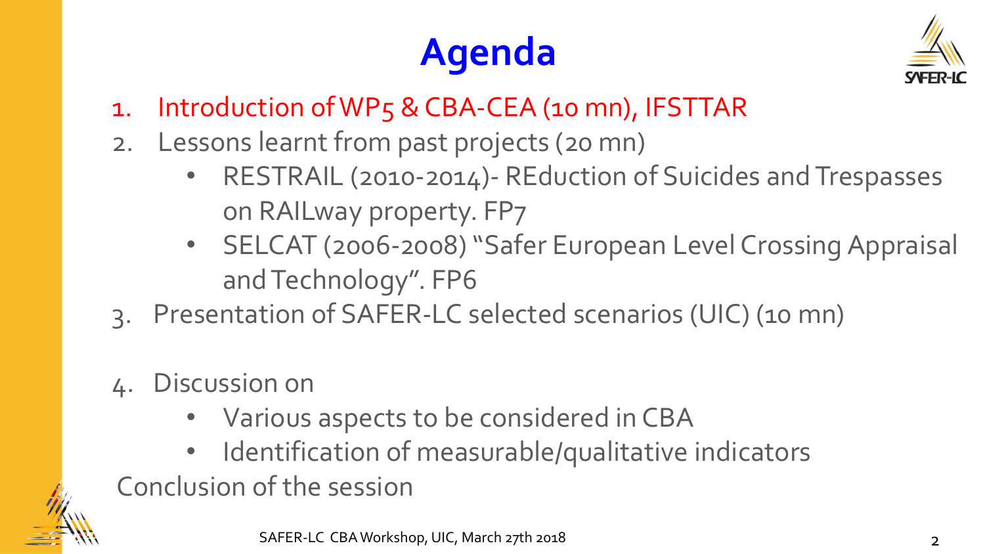## **Agenda**



- 1. Introduction of WP5 & CBA-CEA (10 mn), IFSTTAR
- 2. Lessons learnt from past projects (20 mn)
	- RESTRAIL (2010-2014)- REduction of Suicides and Trespasses on RAILway property. FP7
	- SELCAT (2006-2008) "Safer European Level Crossing Appraisal and Technology". FP6
- 3. Presentation of SAFER-LC selected scenarios (UIC) (10 mn)
- 4. Discussion on
	- Various aspects to be considered in CBA
- Identification of measurable/qualitative indicators Conclusion of the session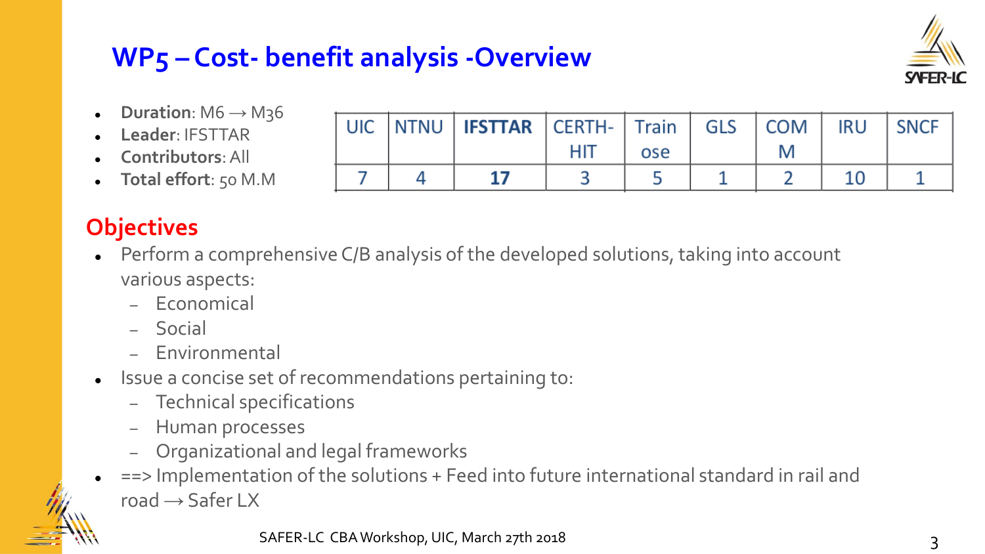## **WP5 – Cost- benefit analysis -Overview**

**UIC** 

7

**NTNU** 

4



**SNCF** 

 $\mathbf{1}$ 

- **Duration**: M6 → M36
- **Leader**: IFSTTAR
- **Contributors**: All
- **Total effort**: 50 M.M

### **Objectives**

 Perform a comprehensive C/B analysis of the developed solutions, taking into account various aspects:

**IFSTTAR** 

17

**Train** 

ose

5

**GLS** 

1

**COM** 

M

 $\overline{2}$ 

**IRU** 

10

**CERTH-**

**HIT** 

3

- Economical
- Social
- Environmental
- Issue a concise set of recommendations pertaining to:
	- Technical specifications
	- Human processes
	- Organizational and legal frameworks
	- ==> Implementation of the solutions + Feed into future international standard in rail and road  $\rightarrow$  Safer LX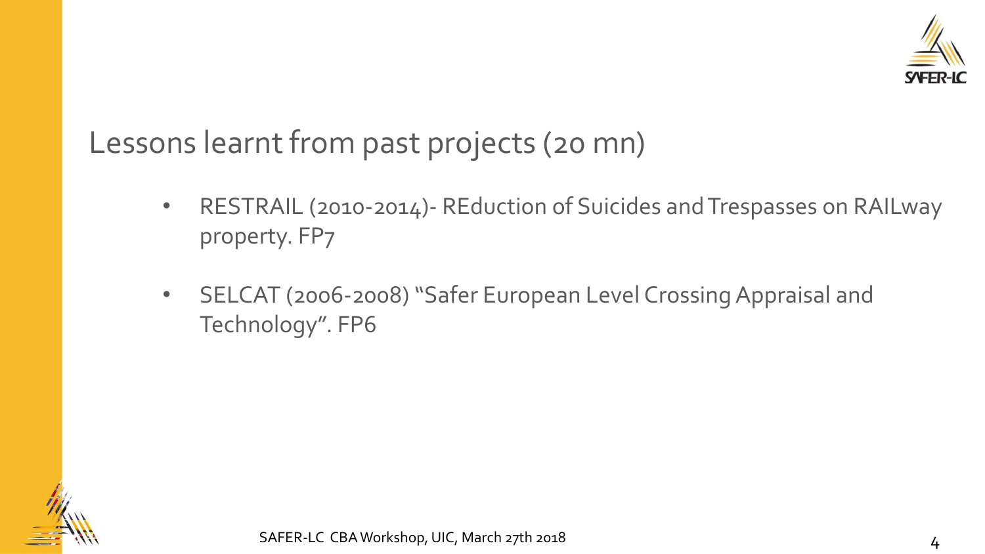

Lessons learnt from past projects (20 mn)

- RESTRAIL (2010-2014) REduction of Suicides and Trespasses on RAILway property. FP7
- SELCAT (2006-2008) "Safer European Level Crossing Appraisal and Technology". FP6

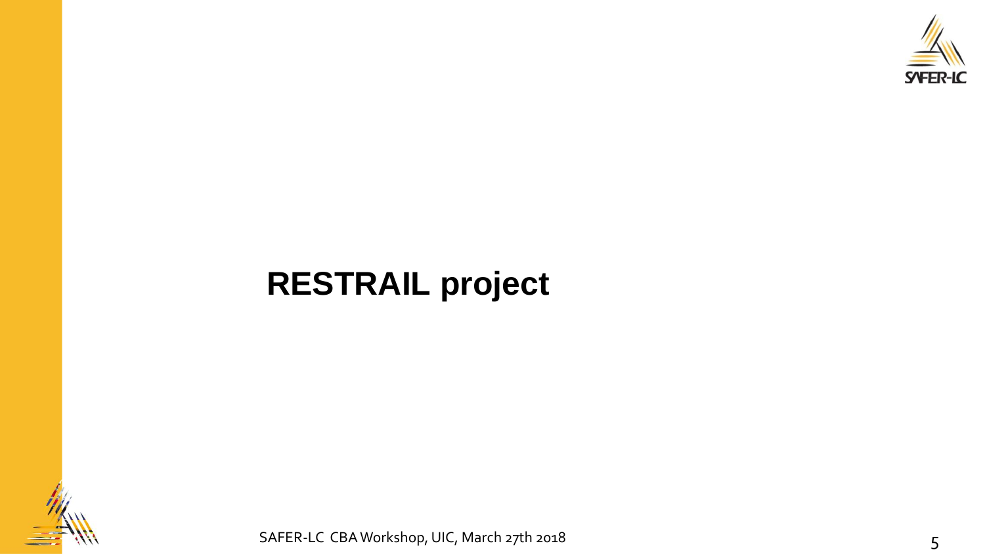

## **RESTRAIL project**



SAFER-LC CBA Workshop, UIC, March 27th 2018 5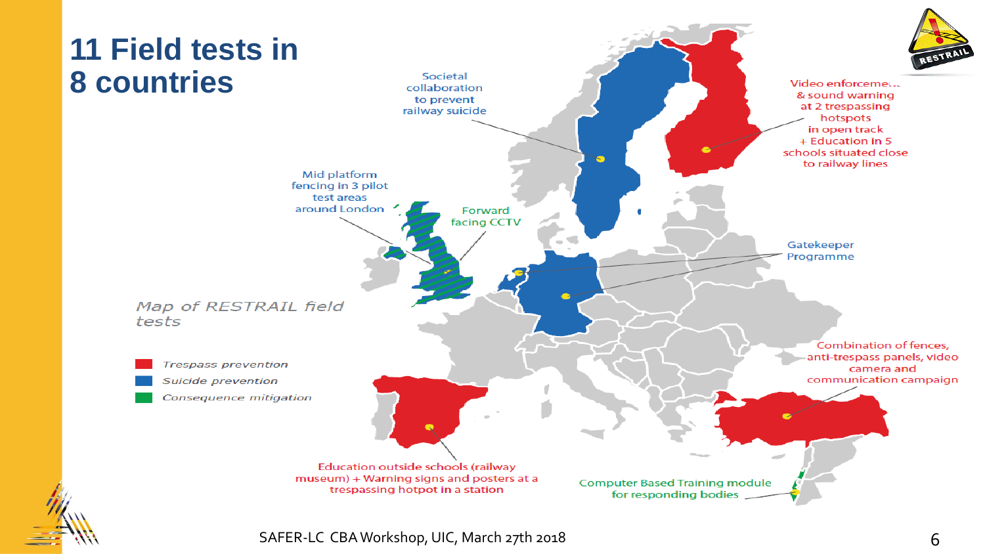

SAFER-LC CBA Workshop, UIC, March 27th 2018 6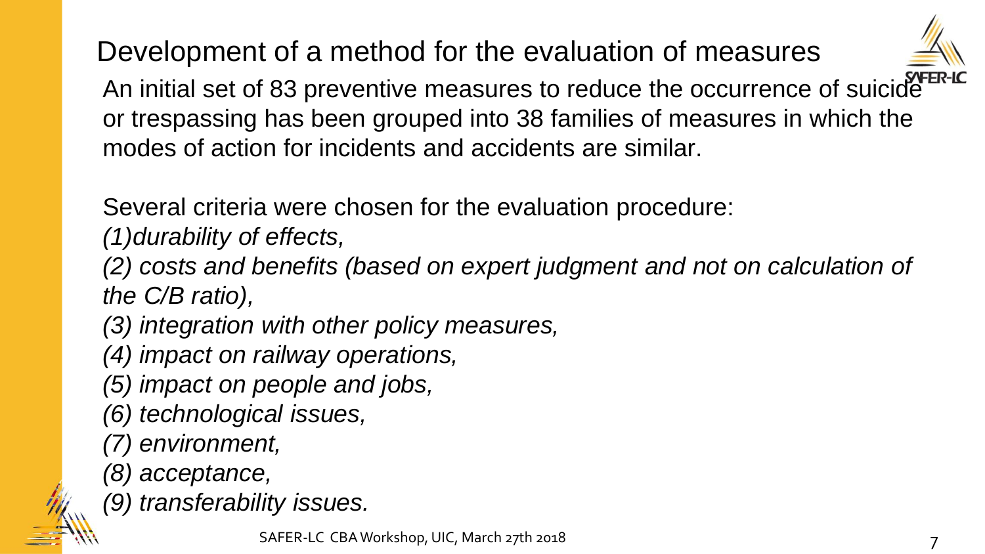Development of a method for the evaluation of measures



An initial set of 83 preventive measures to reduce the occurrence of suicide or trespassing has been grouped into 38 families of measures in which the modes of action for incidents and accidents are similar.

Several criteria were chosen for the evaluation procedure:

*(1)durability of effects,* 

*(2) costs and benefits (based on expert judgment and not on calculation of the C/B ratio),* 

*(3) integration with other policy measures,* 

*(4) impact on railway operations,* 

*(5) impact on people and jobs,* 

- *(6) technological issues,*
- *(7) environment,*
- *(8) acceptance,*

*(9) transferability issues.*

SAFER-LC CBA Workshop, UIC, March 27th 2018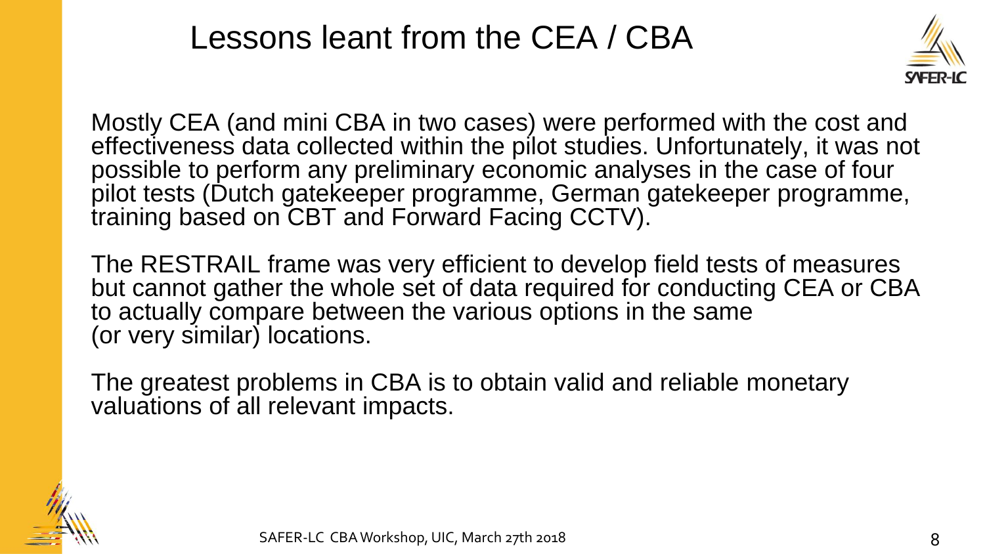## Lessons leant from the CEA / CBA



Mostly CEA (and mini CBA in two cases) were performed with the cost and effectiveness data collected within the pilot studies. Unfortunately, it was not possible to perform any preliminary economic analyses in the case of four pilot tests (Dutch gatekeeper programme, German gatekeeper programme, training based on CBT and Forward Facing CCTV).

The RESTRAIL frame was very efficient to develop field tests of measures but cannot gather the whole set of data required for conducting CEA or CBA to actually compare between the various options in the same (or very similar) locations.

The greatest problems in CBA is to obtain valid and reliable monetary valuations of all relevant impacts.

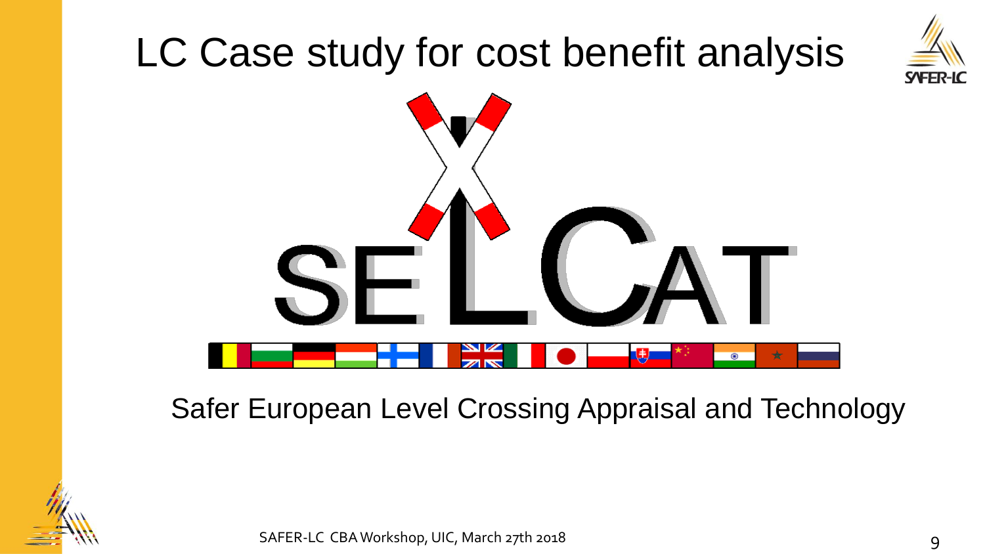## LC Case study for cost benefit analysis





### Safer European Level Crossing Appraisal and Technology



SAFER-LC CBA Workshop, UIC, March 27th 2018 9 1999 10:00 12:00 12:00 12:00 12:00 13:00 14:00 14:00 14:00 14:00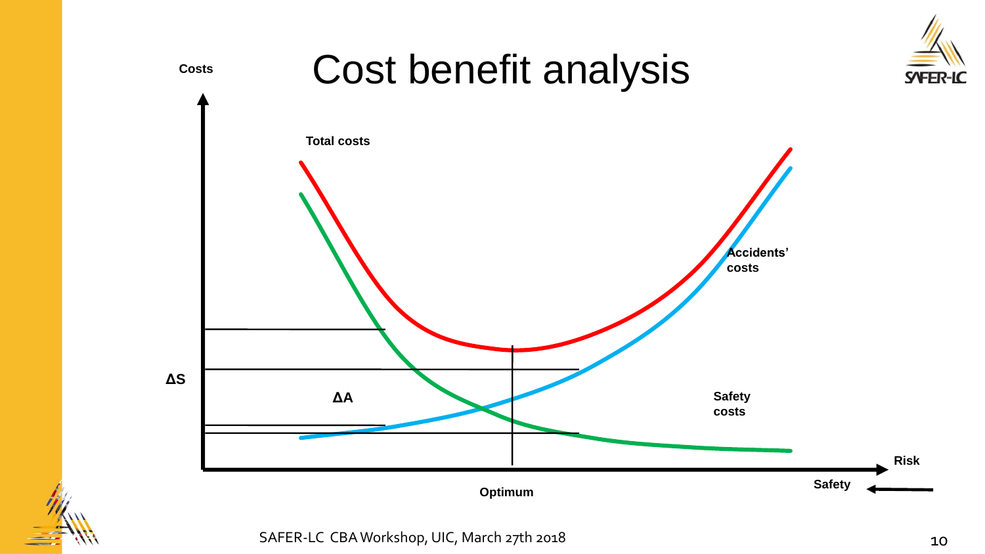

SAFER-LC CBA Workshop, UIC, March 27th 2018 10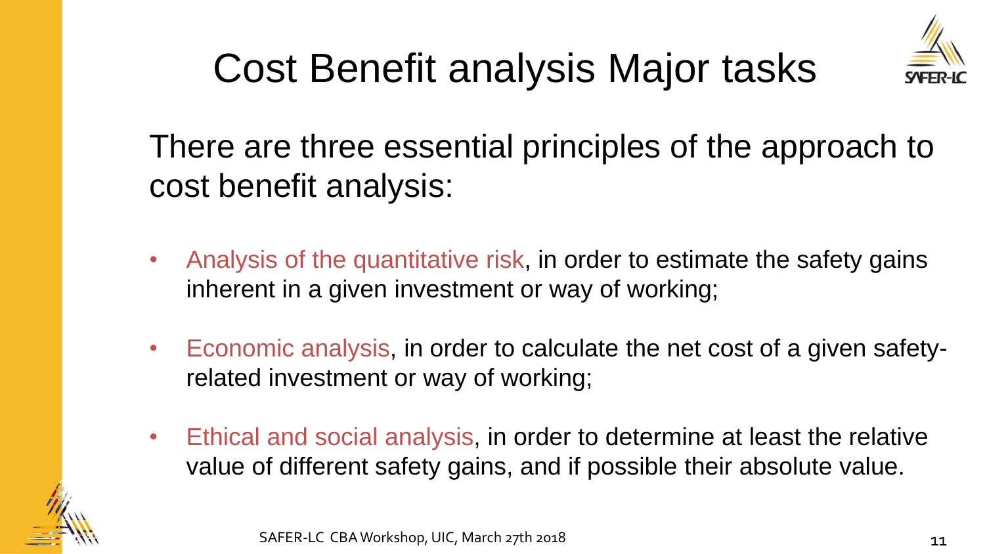

## Cost Benefit analysis Major tasks

There are three essential principles of the approach to cost benefit analysis:

- Analysis of the quantitative risk, in order to estimate the safety gains inherent in a given investment or way of working;
- Economic analysis, in order to calculate the net cost of a given safetyrelated investment or way of working;
- Ethical and social analysis, in order to determine at least the relative value of different safety gains, and if possible their absolute value.

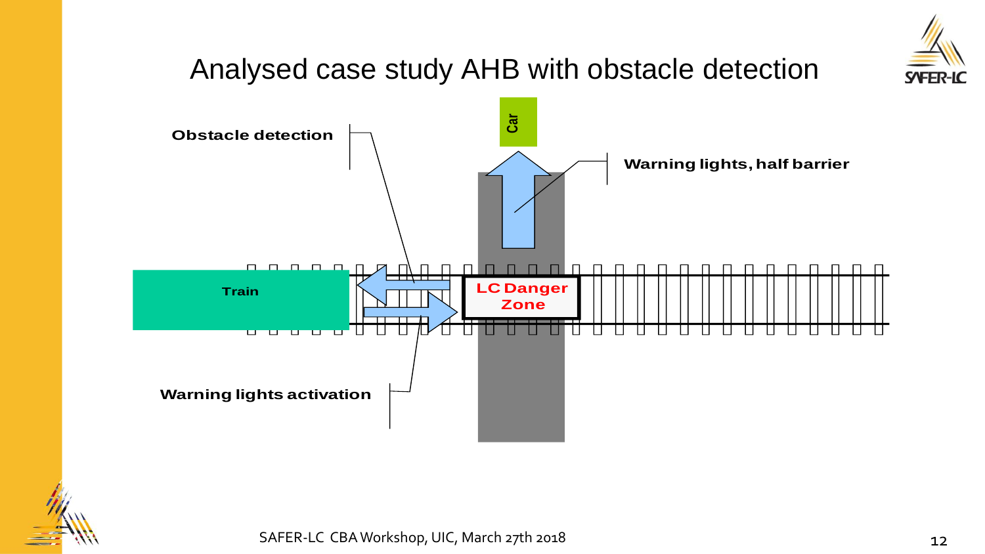

### Analysed case study AHB with obstacle detection



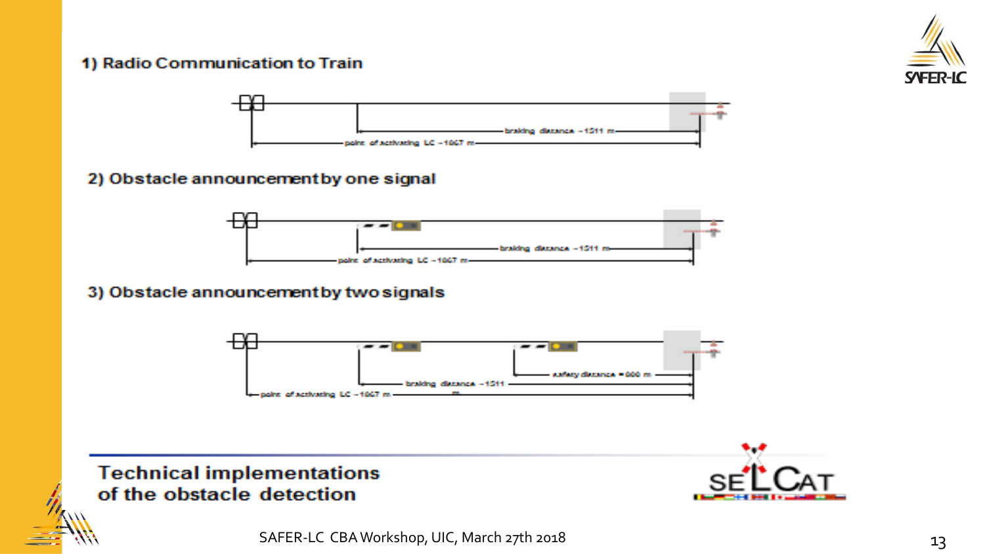#### 1) Radio Communication to Train





#### 2) Obstacle announcement by one signal



#### 3) Obstacle announcement by two signals



#### **Technical implementations** of the obstacle detection

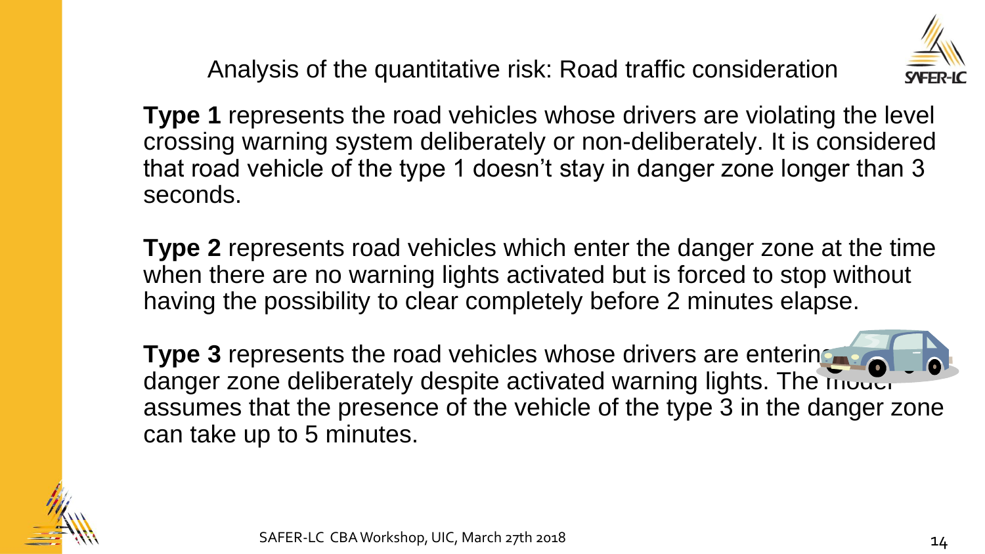Analysis of the quantitative risk: Road traffic consideration



**Type 1** represents the road vehicles whose drivers are violating the level crossing warning system deliberately or non-deliberately. It is considered that road vehicle of the type 1 doesn't stay in danger zone longer than 3 seconds.

**Type 2** represents road vehicles which enter the danger zone at the time when there are no warning lights activated but is forced to stop without having the possibility to clear completely before 2 minutes elapse.

**Type 3** represents the road vehicles whose drivers are entering the set danger zone deliberately despite activated warning lights. The model assumes that the presence of the vehicle of the type 3 in the danger zone can take up to 5 minutes.

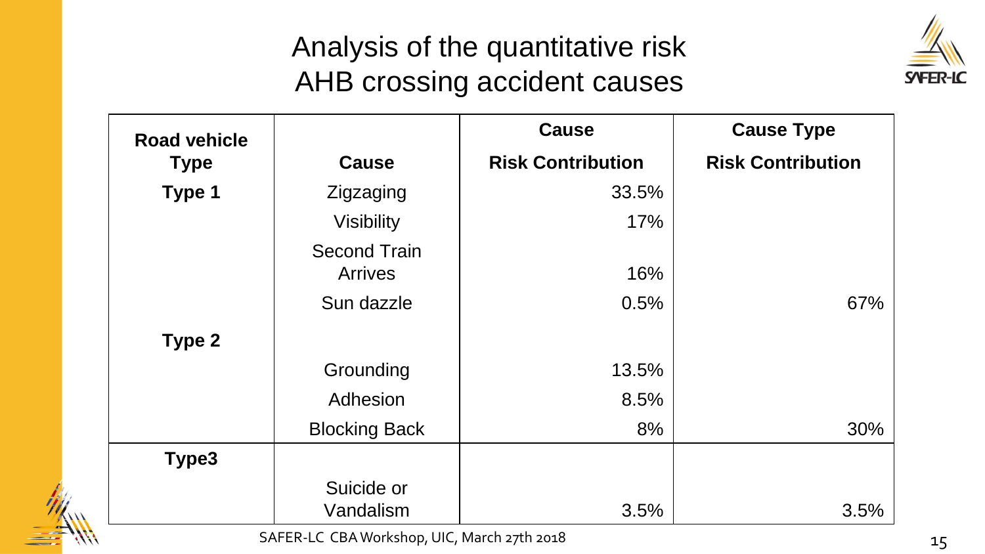## Analysis of the quantitative risk AHB crossing accident causes



| <b>Road vehicle</b> |                                       | <b>Cause</b>             | <b>Cause Type</b>        |
|---------------------|---------------------------------------|--------------------------|--------------------------|
| <b>Type</b>         | <b>Cause</b>                          | <b>Risk Contribution</b> | <b>Risk Contribution</b> |
| Type 1              | Zigzaging                             | 33.5%                    |                          |
|                     | <b>Visibility</b>                     | 17%                      |                          |
|                     | <b>Second Train</b><br><b>Arrives</b> | 16%                      |                          |
|                     | Sun dazzle                            | 0.5%                     | 67%                      |
| Type 2              |                                       |                          |                          |
|                     | Grounding                             | 13.5%                    |                          |
|                     | Adhesion                              | 8.5%                     |                          |
|                     | <b>Blocking Back</b>                  | 8%                       | 30%                      |
| Type3               |                                       |                          |                          |
|                     | Suicide or<br>Vandalism               | 3.5%                     | 3.5%                     |

SAFER-LC CBA Workshop, UIC, March 27th 2018 15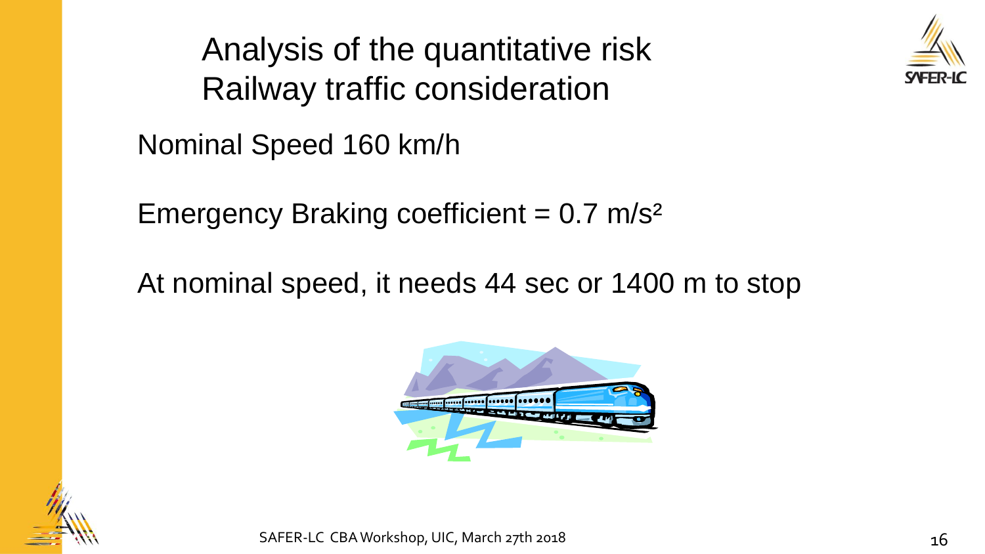Analysis of the quantitative risk Railway traffic consideration



Nominal Speed 160 km/h

Emergency Braking coefficient  $= 0.7$  m/s<sup>2</sup>

At nominal speed, it needs 44 sec or 1400 m to stop



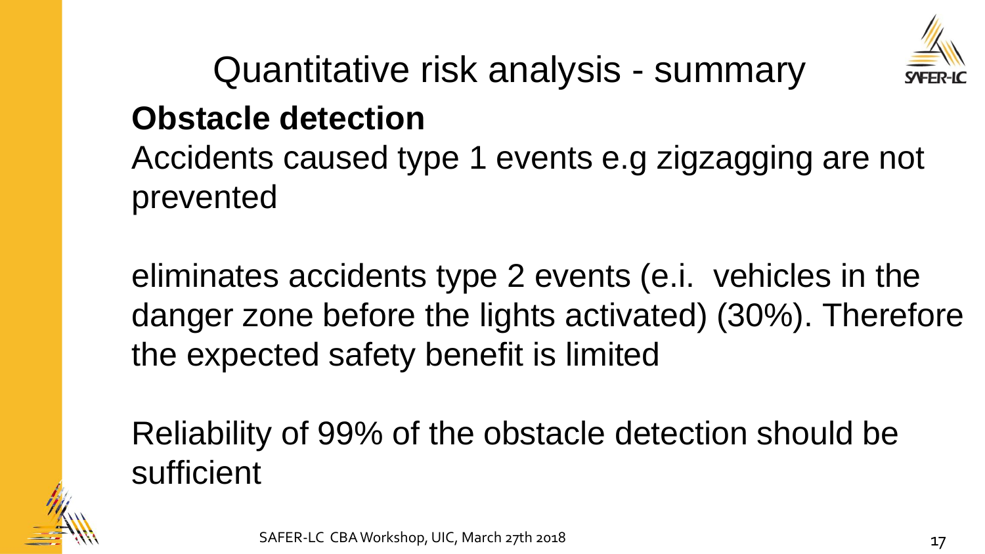

Quantitative risk analysis - summary

## **Obstacle detection**

Accidents caused type 1 events e.g zigzagging are not prevented

eliminates accidents type 2 events (e.i. vehicles in the danger zone before the lights activated) (30%). Therefore the expected safety benefit is limited

Reliability of 99% of the obstacle detection should be sufficient

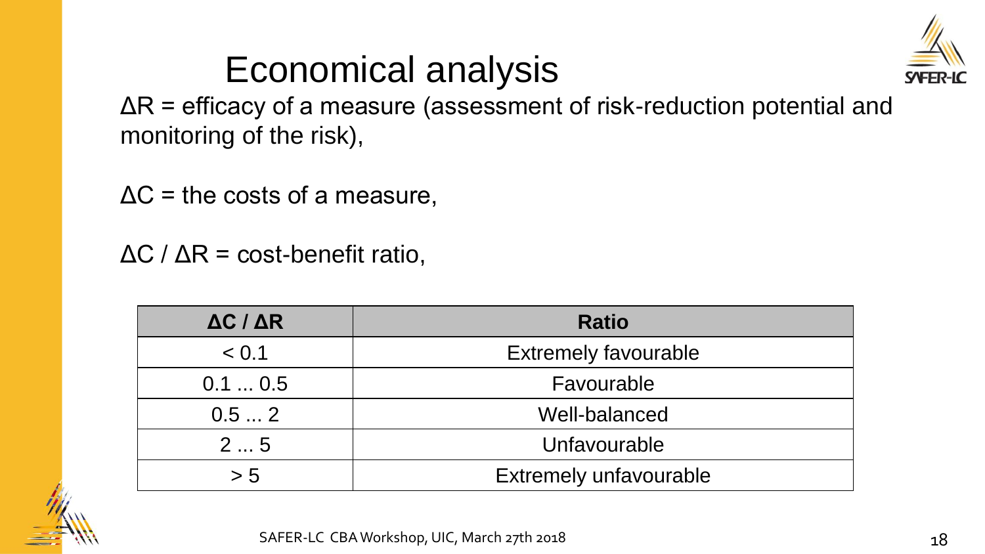

## Economical analysis

ΔR = efficacy of a measure (assessment of risk-reduction potential and monitoring of the risk),

 $\Delta C$  = the costs of a measure,

 $\Delta C$  /  $\Delta R$  = cost-benefit ratio,

| $\Delta C / \Delta R$ | <b>Ratio</b>                  |  |  |
|-----------------------|-------------------------------|--|--|
| < 0.1                 | <b>Extremely favourable</b>   |  |  |
| 0.10.5                | Favourable                    |  |  |
| 0.52                  | Well-balanced                 |  |  |
| 25<br>Unfavourable    |                               |  |  |
| > 5                   | <b>Extremely unfavourable</b> |  |  |

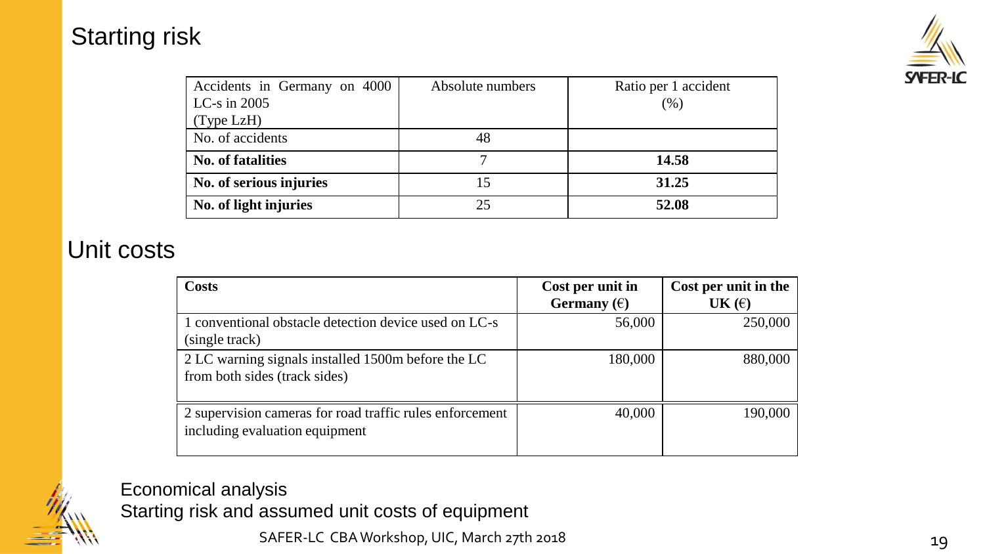### Starting risk



| Accidents in Germany on 4000 | Absolute numbers | Ratio per 1 accident |
|------------------------------|------------------|----------------------|
| LC-s in $2005$               |                  | (%)                  |
| (Type LzH)                   |                  |                      |
| No. of accidents             | 48               |                      |
| <b>No. of fatalities</b>     |                  | 14.58                |
| No. of serious injuries      | 15               | 31.25                |
| No. of light injuries        | 25               | 52.08                |

### Unit costs

| <b>Costs</b>                                                                               | Cost per unit in<br>Germany $(\epsilon)$ | Cost per unit in the<br>UK $(\epsilon)$ |
|--------------------------------------------------------------------------------------------|------------------------------------------|-----------------------------------------|
| 1 conventional obstacle detection device used on LC-s<br>(single track)                    | 56,000                                   | 250,000                                 |
| 2 LC warning signals installed 1500m before the LC<br>from both sides (track sides)        | 180,000                                  | 880,000                                 |
| 2 supervision cameras for road traffic rules enforcement<br>including evaluation equipment | 40,000                                   | 190,000                                 |



Economical analysis

Starting risk and assumed unit costs of equipment

SAFER-LC CBA Workshop, UIC, March 27th 2018 19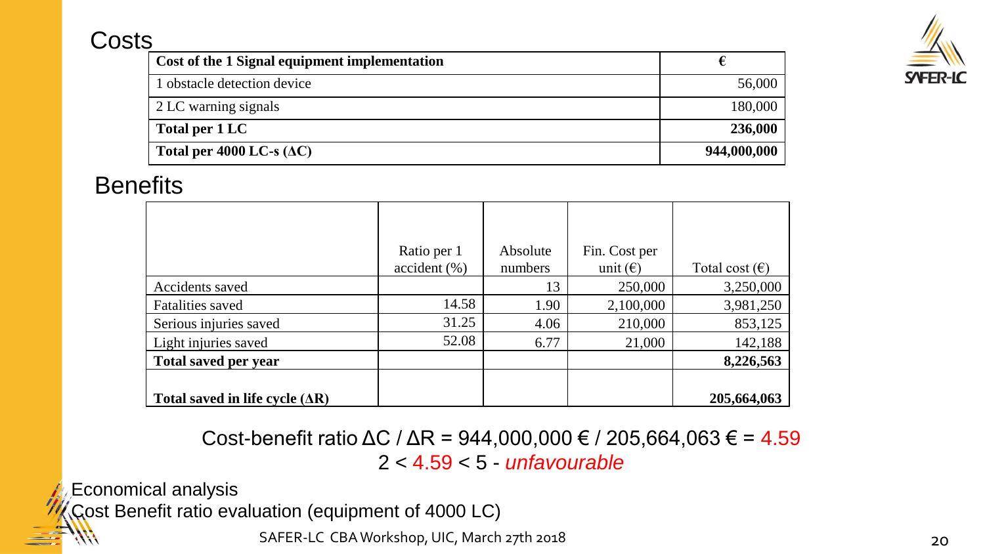### **Costs**

| Cost of the 1 Signal equipment implementation |             |
|-----------------------------------------------|-------------|
| 1 obstacle detection device                   | 56,000      |
| 2 LC warning signals                          | 180,000     |
| Total per 1 LC                                | 236,000     |
| Total per 4000 LC-s $(\Delta C)$              | 944,000,000 |

### **Benefits**

|                                  | Ratio per 1<br>accident (%) | Absolute<br>numbers | Fin. Cost per<br>unit $(\epsilon)$ | Total cost $(\epsilon)$ |
|----------------------------------|-----------------------------|---------------------|------------------------------------|-------------------------|
| Accidents saved                  |                             | 13                  | 250,000                            | 3,250,000               |
| <b>Fatalities saved</b>          | 14.58                       | 1.90                | 2,100,000                          | 3,981,250               |
| Serious injuries saved           | 31.25                       | 4.06                | 210,000                            | 853,125                 |
| Light injuries saved             | 52.08                       | 6.77                | 21,000                             | 142,188                 |
| Total saved per year             |                             |                     |                                    | 8,226,563               |
| Total saved in life cycle $(AR)$ |                             |                     |                                    | 205,664,063             |

Cost-benefit ratio  $\Delta C$  /  $\Delta R$  = 944,000,000 € / 205,664,063 € = 4.59 2 < 4.59 < 5 - *unfavourable*

Economical analysis

Cost Benefit ratio evaluation (equipment of 4000 LC)

SAFER-LC CBA Workshop, UIC, March 27th 2018 20 20 20

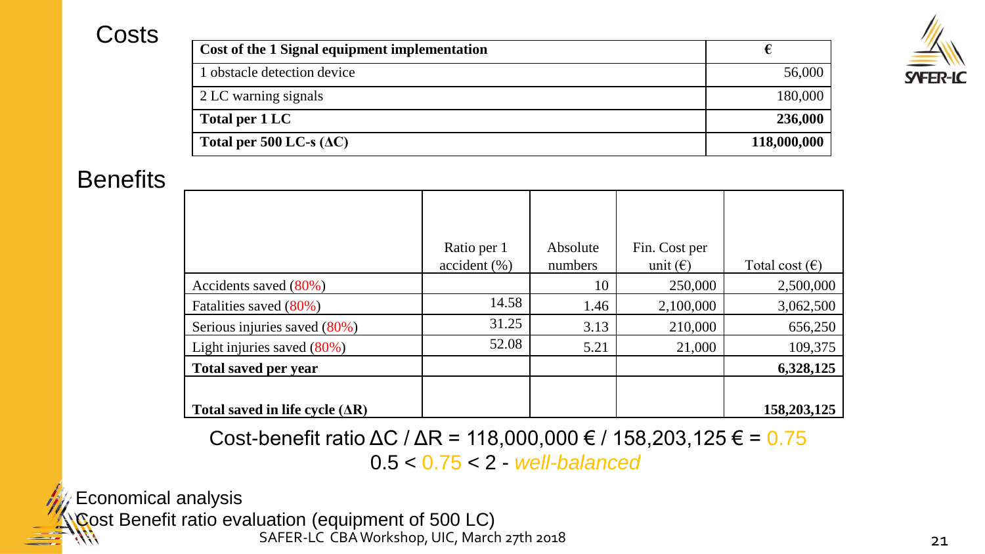### **Costs**

| -2<br>I<br>۰ |
|--------------|

| Cost of the 1 Signal equipment implementation |             |
|-----------------------------------------------|-------------|
| 1 obstacle detection device                   | 56,000      |
| 2 LC warning signals                          | 180,000     |
| Total per 1 LC                                | 236,000     |
| Total per 500 LC-s $(\Delta C)$               | 118,000,000 |

#### **Benefits**

|                                  | Ratio per 1  | Absolute | Fin. Cost per     |                         |
|----------------------------------|--------------|----------|-------------------|-------------------------|
|                                  | accident (%) | numbers  | unit $(\epsilon)$ | Total cost $(\epsilon)$ |
| Accidents saved $(80\%)$         |              | 10       | 250,000           | 2,500,000               |
| Fatalities saved (80%)           | 14.58        | 1.46     | 2,100,000         | 3,062,500               |
| Serious injuries saved (80%)     | 31.25        | 3.13     | 210,000           | 656,250                 |
| Light injuries saved $(80\%)$    | 52.08        | 5.21     | 21,000            | 109,375                 |
| <b>Total saved per year</b>      |              |          |                   | 6,328,125               |
|                                  |              |          |                   |                         |
| Total saved in life cycle $(AR)$ |              |          |                   | 158, 203, 125           |

Cost-benefit ratio  $\Delta C / \Delta R = 118,000,000 \in / 158,203,125 \in = 0.75$ 

0.5 < 0.75 < 2 - *well-balanced*

Economical analysis

SAFER-LC CBA Workshop, UIC, March 27th 2018 21 Cost Benefit ratio evaluation (equipment of 500 LC)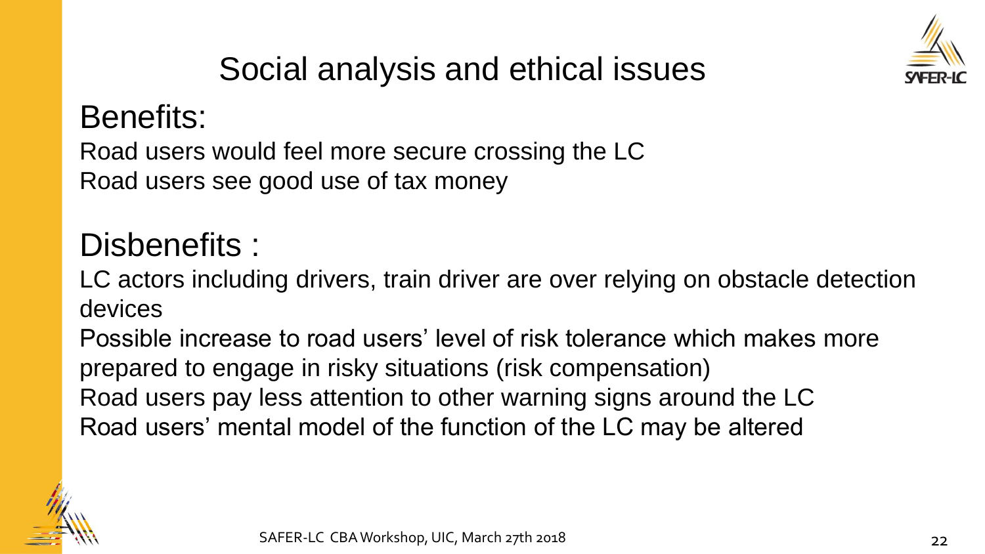

## Social analysis and ethical issues

## Benefits:

Road users would feel more secure crossing the LC Road users see good use of tax money

## Disbenefits :

LC actors including drivers, train driver are over relying on obstacle detection devices

Possible increase to road users' level of risk tolerance which makes more prepared to engage in risky situations (risk compensation) Road users pay less attention to other warning signs around the LC Road users' mental model of the function of the LC may be altered

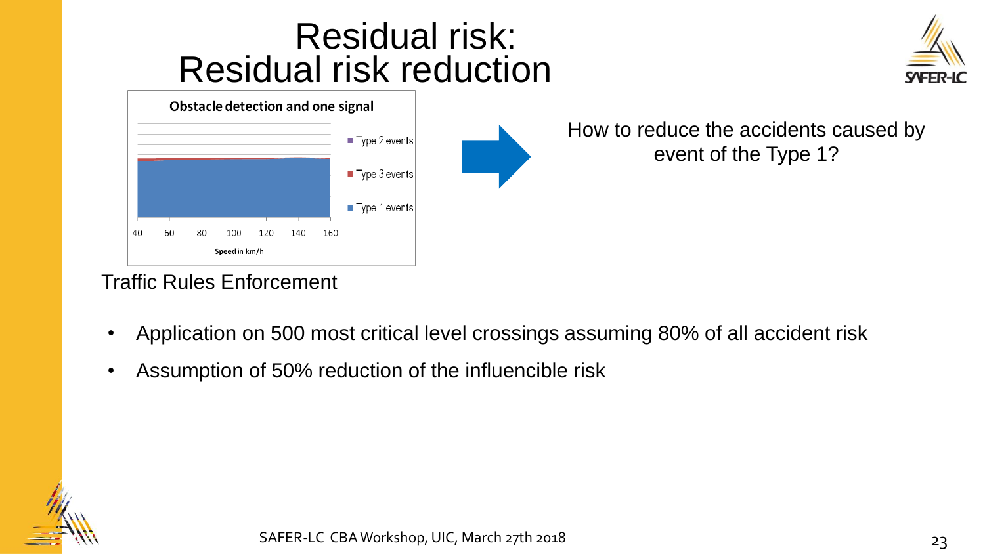## Residual risk reduction Residual risk:

|    | Obstacle detection and one signal |    |               |     |     |     |                              |
|----|-----------------------------------|----|---------------|-----|-----|-----|------------------------------|
|    |                                   |    |               |     |     |     | ■ Type 2 events              |
|    |                                   |    |               |     |     |     | $\blacksquare$ Type 3 events |
|    |                                   |    |               |     |     |     | ■ Type 1 events              |
| 40 | 60                                | 80 | 100           | 120 | 140 | 160 |                              |
|    |                                   |    | Speed in km/h |     |     |     |                              |

How to reduce the accidents caused by event of the Type 1?

#### Traffic Rules Enforcement

- Application on 500 most critical level crossings assuming 80% of all accident risk
- Assumption of 50% reduction of the influencible risk

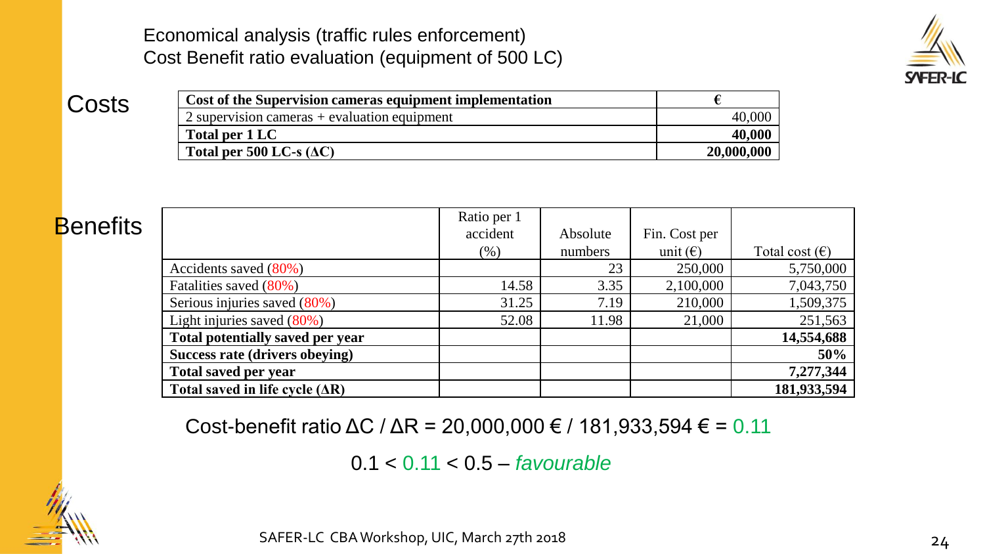Economical analysis (traffic rules enforcement) Cost Benefit ratio evaluation (equipment of 500 LC)



**Costs** 

| Cost of the Supervision cameras equipment implementation |            |
|----------------------------------------------------------|------------|
| 2 supervision cameras $+$ evaluation equipment           | 40,000     |
| Total per 1 LC                                           | 40,000     |
| Total per 500 LC-s $(\Delta C)$                          | 20,000,000 |

| <b>Benefits</b> |                                  | Ratio per 1 |          |                   |                         |
|-----------------|----------------------------------|-------------|----------|-------------------|-------------------------|
|                 |                                  | accident    | Absolute | Fin. Cost per     |                         |
|                 |                                  | (% )        | numbers  | unit $(\epsilon)$ | Total cost $(\epsilon)$ |
|                 | Accidents saved (80%)            |             | 23       | 250,000           | 5,750,000               |
|                 | Fatalities saved (80%)           | 14.58       | 3.35     | 2,100,000         | 7,043,750               |
|                 | Serious injuries saved (80%)     | 31.25       | 7.19     | 210,000           | 1,509,375               |
|                 | Light injuries saved $(80\%)$    | 52.08       | 11.98    | 21,000            | 251,563                 |
|                 | Total potentially saved per year |             |          |                   | 14,554,688              |
|                 | Success rate (drivers obeying)   |             |          |                   | 50%                     |
|                 | <b>Total saved per year</b>      |             |          |                   | 7,277,344               |
|                 | Total saved in life cycle $(AR)$ |             |          |                   | 181,933,594             |

Cost-benefit ratio  $\Delta C$  /  $\Delta R = 20,000,000 \in$  / 181,933,594 € = 0.11

0.1 < 0.11 < 0.5 – *favourable*

SAFER-LC CBA Workshop, UIC, March 27th 2018 2018 24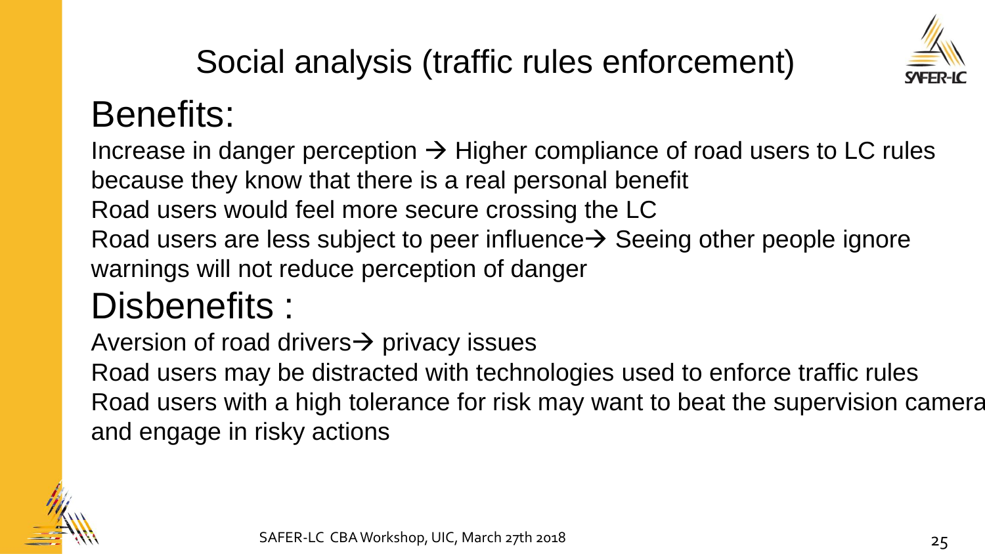

## Social analysis (traffic rules enforcement)

## Benefits:

Increase in danger perception  $\rightarrow$  Higher compliance of road users to LC rules because they know that there is a real personal benefit Road users would feel more secure crossing the LC Road users are less subject to peer influence  $\rightarrow$  Seeing other people ignore warnings will not reduce perception of danger

## Disbenefits :

Aversion of road drivers  $\rightarrow$  privacy issues

Road users may be distracted with technologies used to enforce traffic rules Road users with a high tolerance for risk may want to beat the supervision camera and engage in risky actions

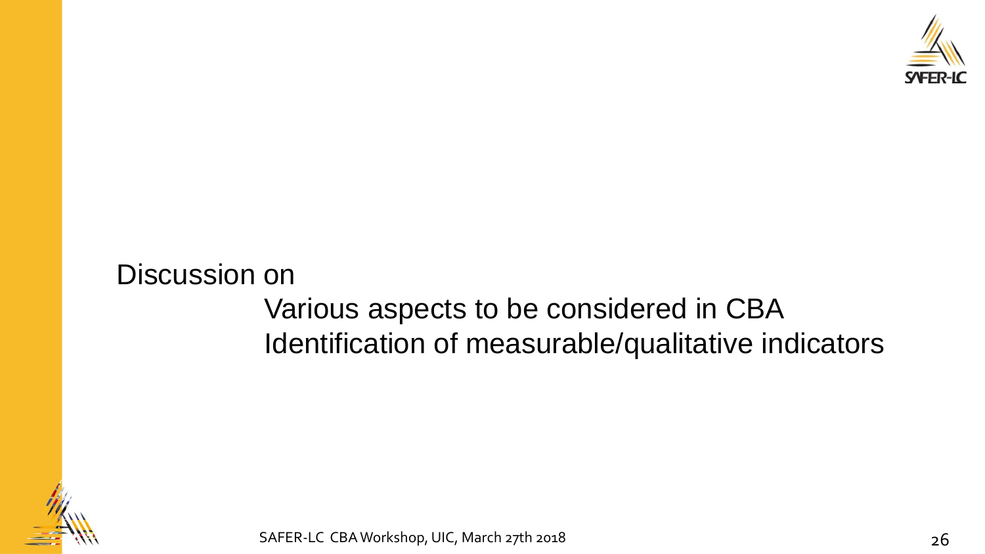

### Discussion on Various aspects to be considered in CBA Identification of measurable/qualitative indicators



SAFER-LC CBA Workshop, UIC, March 27th 2018 2018 26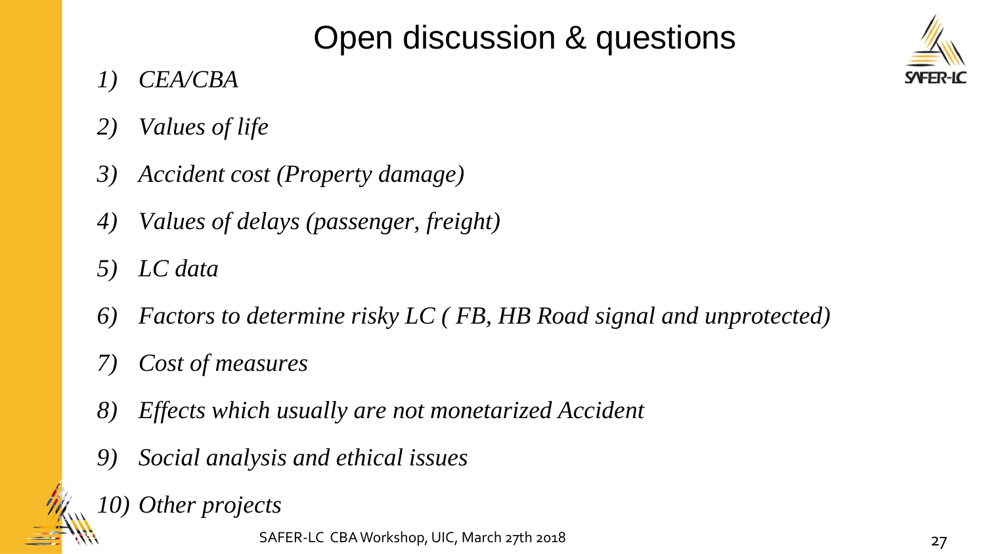## Open discussion & questions

- *1) CEA/CBA*
- *2) Values of life*
- *3) Accident cost (Property damage)*
- *4) Values of delays (passenger, freight)*
- *5) LC data*
- *6) Factors to determine risky LC ( FB, HB Road signal and unprotected)*
- *7) Cost of measures*
- *8) Effects which usually are not monetarized Accident*
- *9) Social analysis and ethical issues*
- *10) Other projects*

SAFER-LC CBA Workshop, UIC, March 27th 2018 2018 27

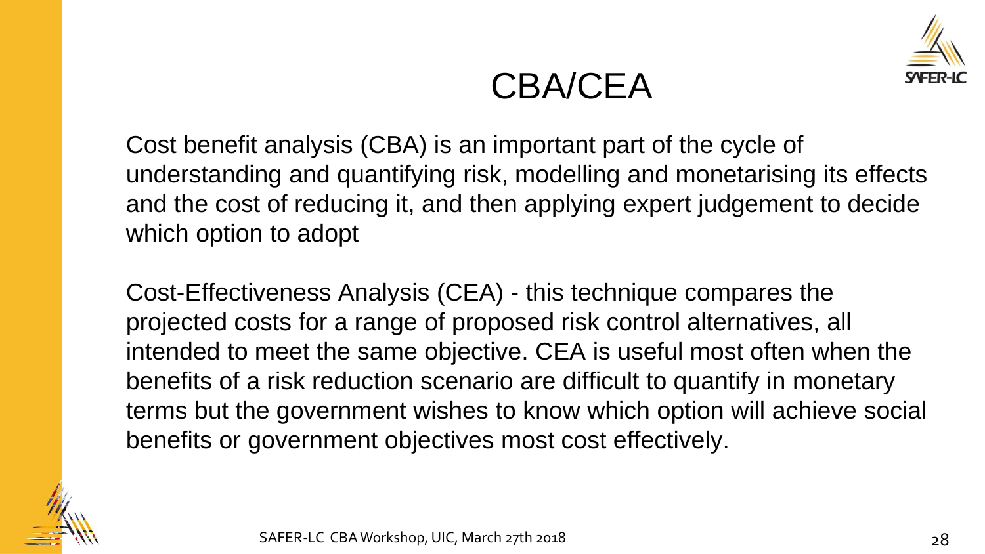

## CBA/CEA

Cost benefit analysis (CBA) is an important part of the cycle of understanding and quantifying risk, modelling and monetarising its effects and the cost of reducing it, and then applying expert judgement to decide which option to adopt

Cost-Effectiveness Analysis (CEA) - this technique compares the projected costs for a range of proposed risk control alternatives, all intended to meet the same objective. CEA is useful most often when the benefits of a risk reduction scenario are difficult to quantify in monetary terms but the government wishes to know which option will achieve social benefits or government objectives most cost effectively.

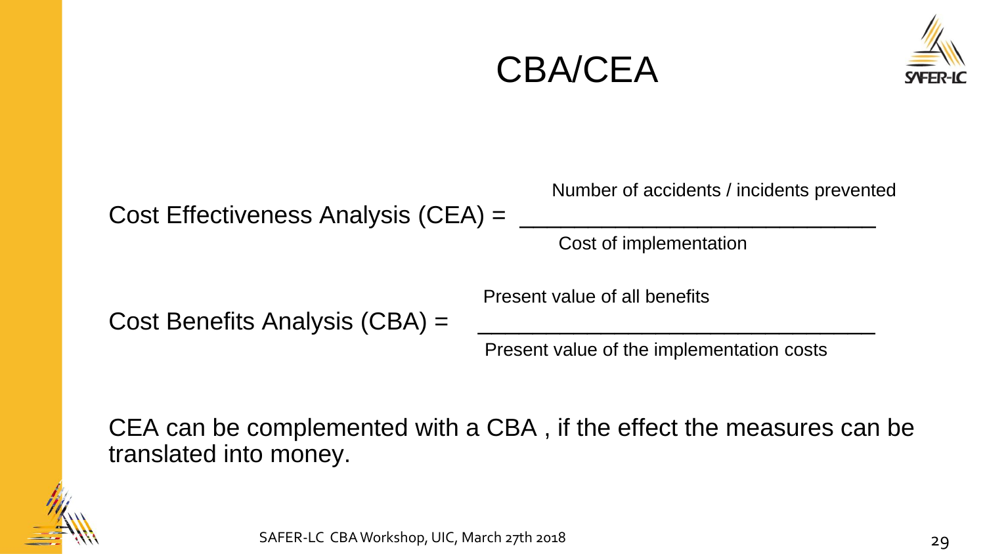





CEA can be complemented with a CBA , if the effect the measures can be translated into money.

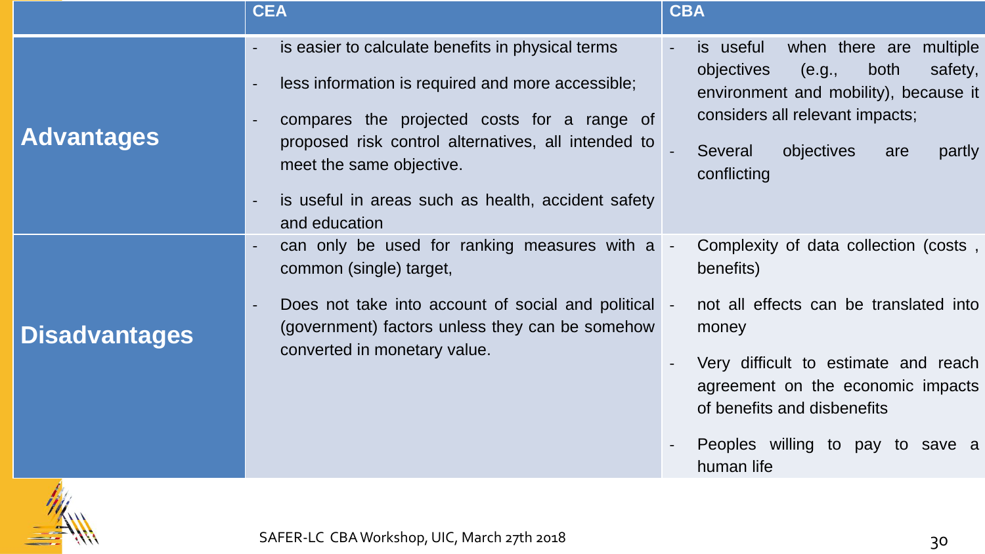|                      | <b>CEA</b>                                                                                                                                            | <b>CBA</b>                                                                                                                                                  |
|----------------------|-------------------------------------------------------------------------------------------------------------------------------------------------------|-------------------------------------------------------------------------------------------------------------------------------------------------------------|
| <b>Advantages</b>    | is easier to calculate benefits in physical terms<br>less information is required and more accessible;<br>compares the projected costs for a range of | when there are multiple<br>is useful<br>safety,<br>objectives<br>(e.g.,<br>both<br>environment and mobility), because it<br>considers all relevant impacts; |
|                      | proposed risk control alternatives, all intended to<br>meet the same objective.<br>is useful in areas such as health, accident safety                 | objectives<br>Several<br>partly<br>are<br>conflicting                                                                                                       |
| <b>Disadvantages</b> | and education<br>can only be used for ranking measures with a<br>common (single) target,                                                              | Complexity of data collection (costs,<br>$\sim$<br>benefits)                                                                                                |
|                      | Does not take into account of social and political -<br>(government) factors unless they can be somehow                                               | not all effects can be translated into<br>money                                                                                                             |
|                      | converted in monetary value.                                                                                                                          | Very difficult to estimate and reach<br>agreement on the economic impacts<br>of benefits and disbenefits                                                    |
|                      |                                                                                                                                                       | Peoples willing to pay to save a<br>human life                                                                                                              |

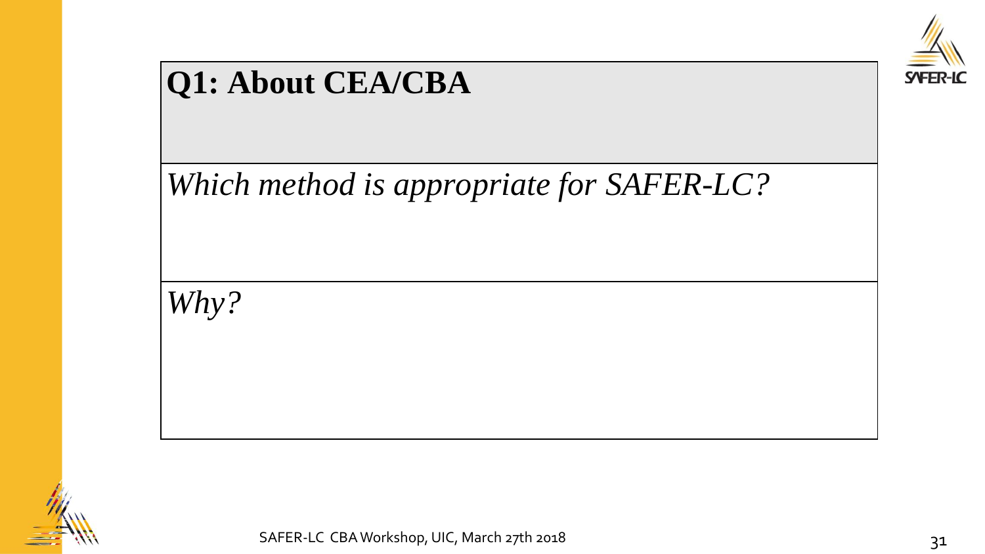

## **Q1: About CEA/CBA**

*Which method is appropriate for SAFER-LC?*

*Why?*

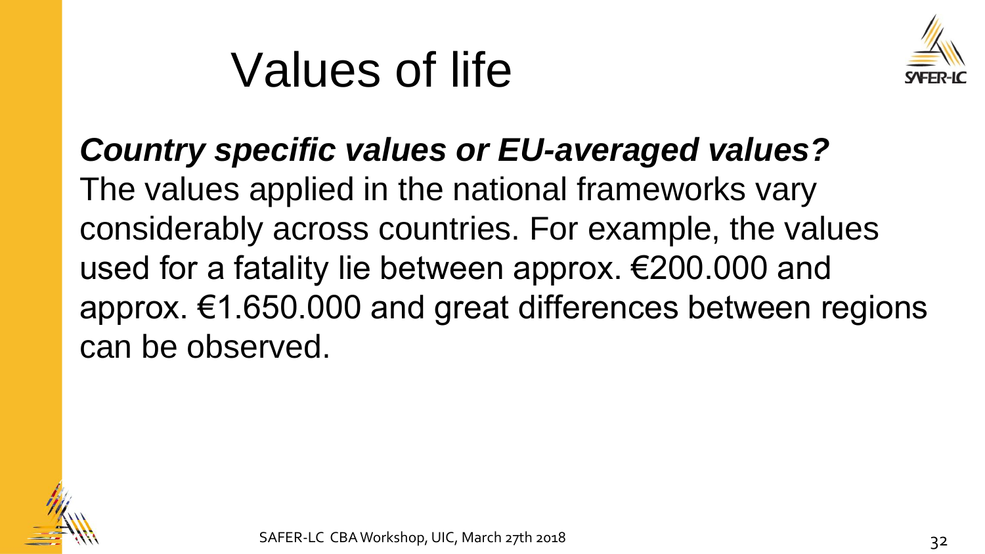## Values of life



*Country specific values or EU-averaged values?* The values applied in the national frameworks vary considerably across countries. For example, the values used for a fatality lie between approx. €200.000 and approx. €1.650.000 and great differences between regions can be observed.

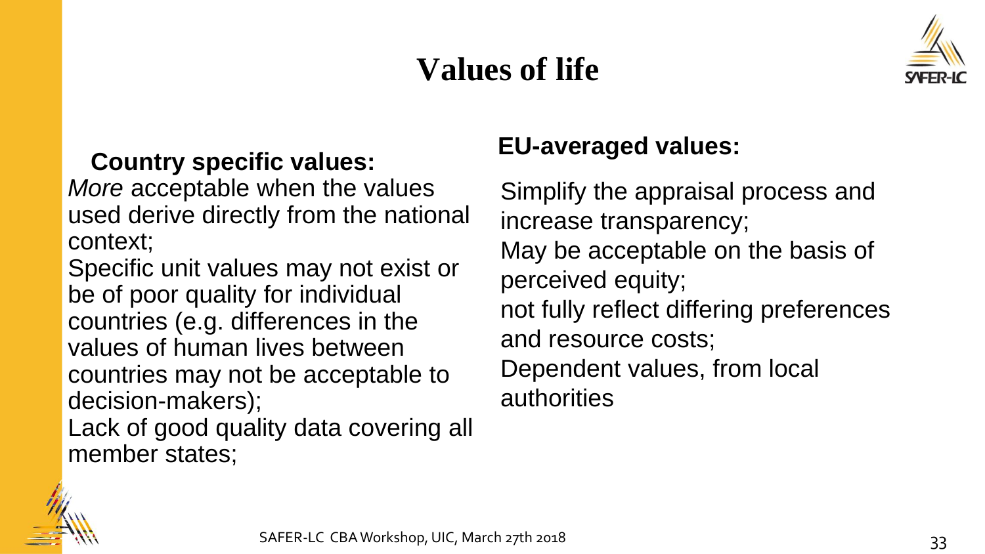## **Values of life**



### **Country specific values:**

*More* acceptable when the values used derive directly from the national context;

Specific unit values may not exist or be of poor quality for individual countries (e.g. differences in the values of human lives between countries may not be acceptable to decision-makers);

Lack of good quality data covering all member states;

### **EU-averaged values:**

Simplify the appraisal process and increase transparency; May be acceptable on the basis of perceived equity; not fully reflect differing preferences and resource costs; Dependent values, from local authorities

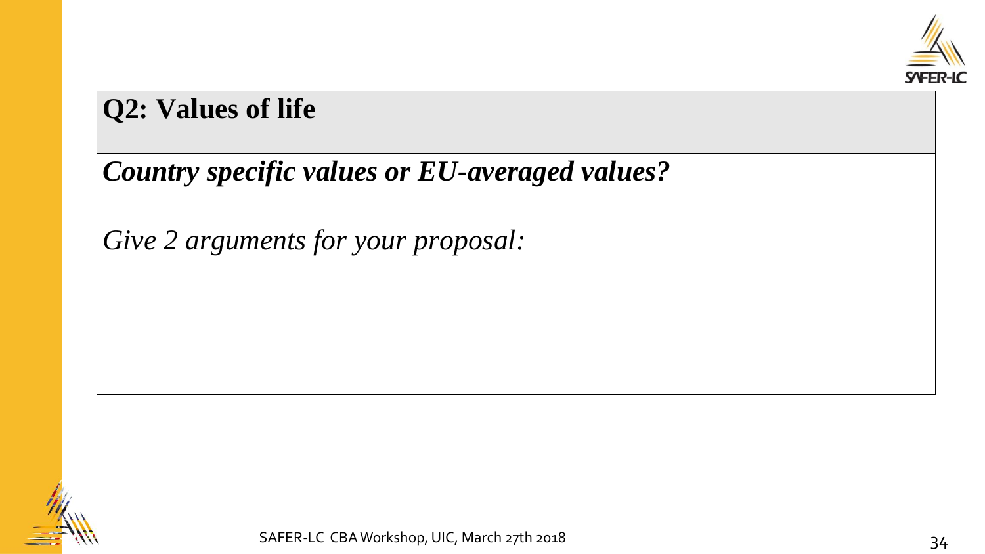

### **Q2: Values of life**

## *Country specific values or EU-averaged values?*

*Give 2 arguments for your proposal:*

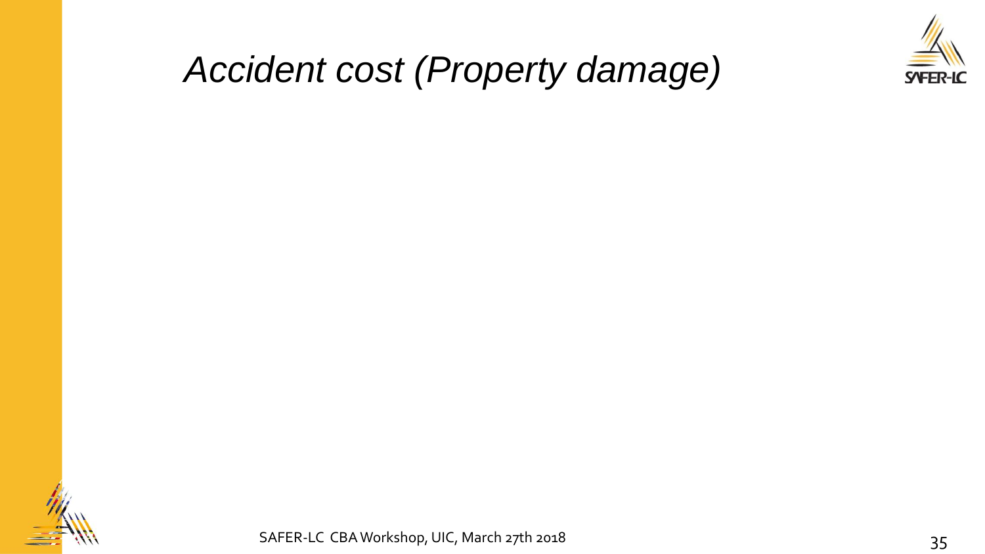

## *Accident cost (Property damage)*



SAFER-LC CBA Workshop, UIC, March 27th 2018 35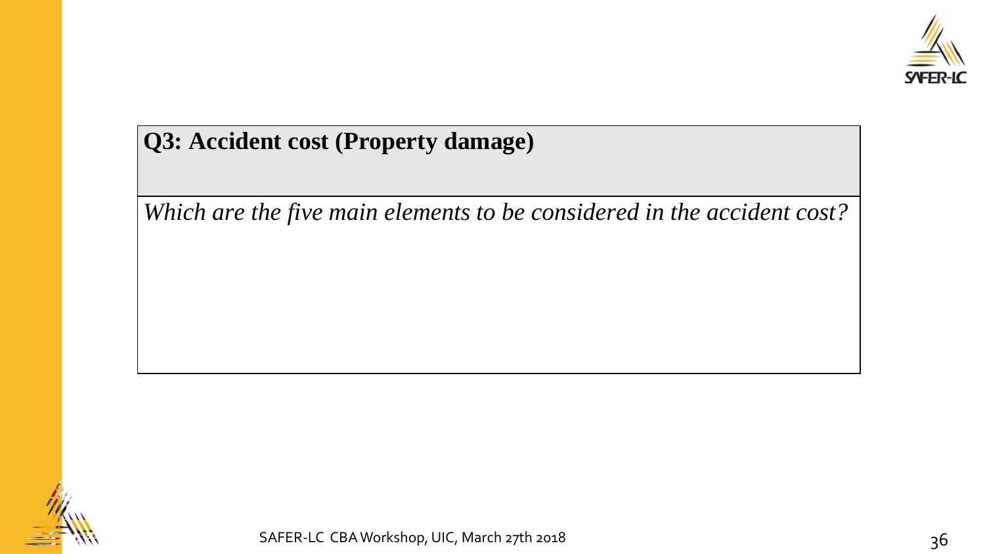

### **Q3: Accident cost (Property damage)**

*Which are the five main elements to be considered in the accident cost?*

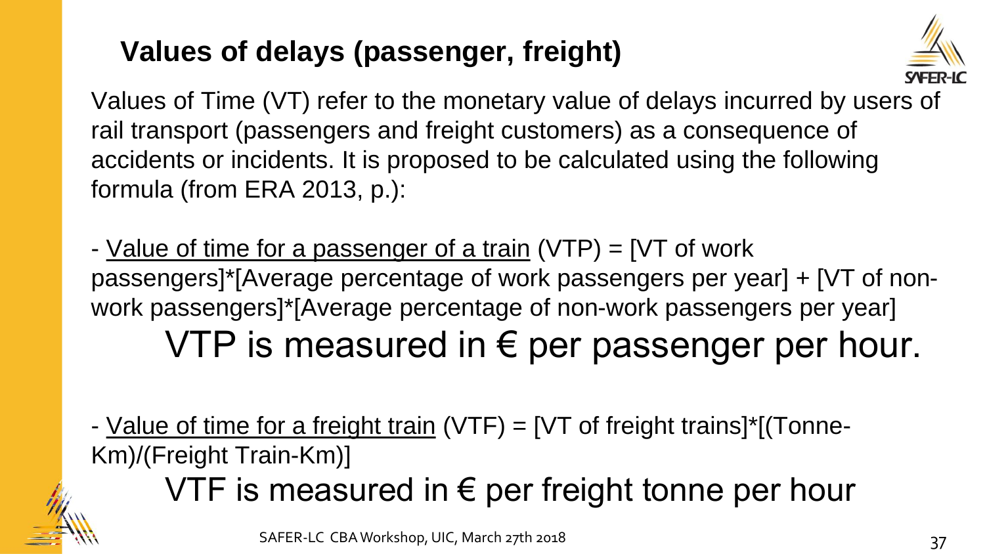## **Values of delays (passenger, freight)**



Values of Time (VT) refer to the monetary value of delays incurred by users of rail transport (passengers and freight customers) as a consequence of accidents or incidents. It is proposed to be calculated using the following formula (from ERA 2013, p.):

- Value of time for a passenger of a train (VTP) = [VT of work passengers]\*[Average percentage of work passengers per year] + [VT of nonwork passengers]\*[Average percentage of non-work passengers per year] VTP is measured in  $\epsilon$  per passenger per hour.

- Value of time for a freight train  $(VTF) = [VT]$  of freight trains]<sup>\*</sup>[(Tonne-Km)/(Freight Train-Km)]

VTF is measured in  $\epsilon$  per freight tonne per hour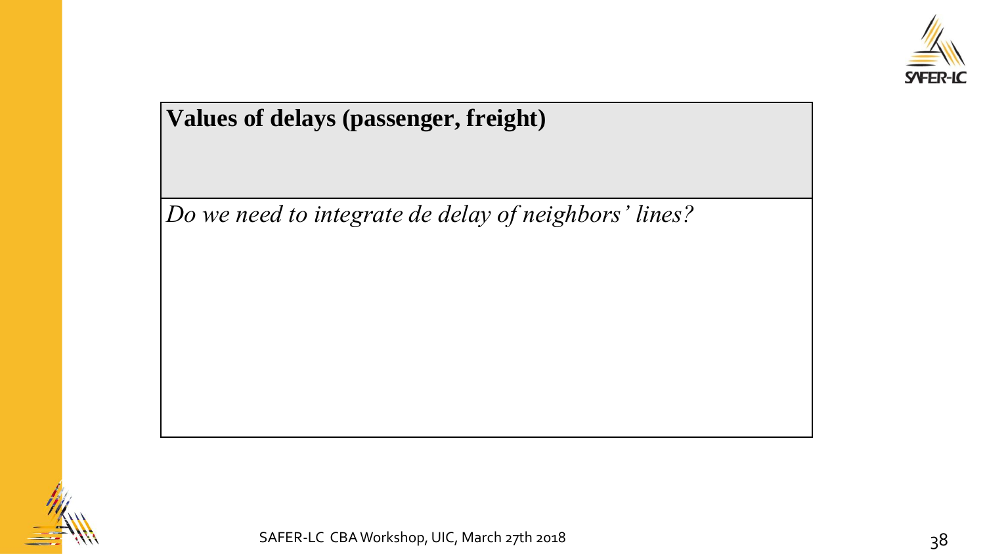

### **Values of delays (passenger, freight)**

*Do we need to integrate de delay of neighbors' lines?*

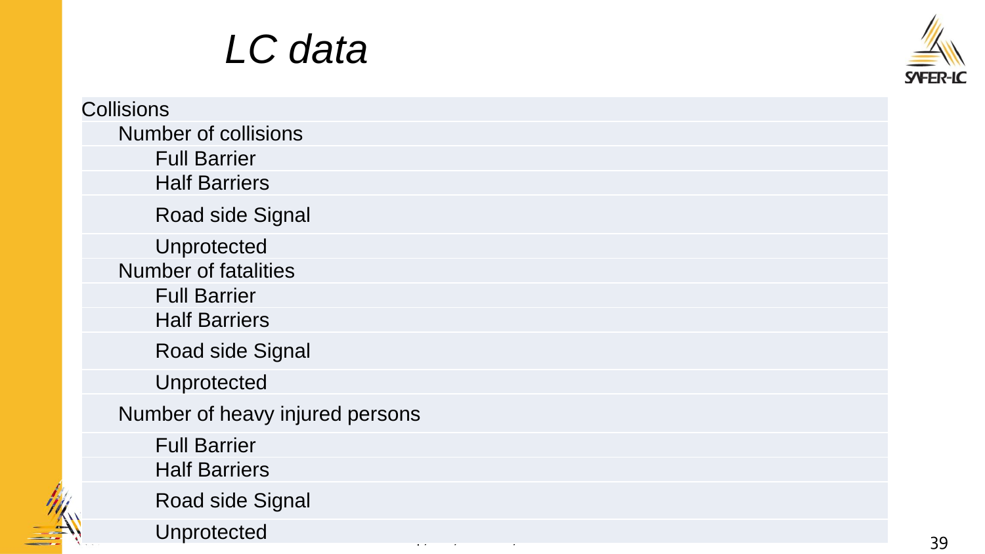## *LC data*

 $\sim$ 



| <b>Collisions</b>               |
|---------------------------------|
| <b>Number of collisions</b>     |
| <b>Full Barrier</b>             |
| <b>Half Barriers</b>            |
| Road side Signal                |
| Unprotected                     |
| <b>Number of fatalities</b>     |
| <b>Full Barrier</b>             |
| <b>Half Barriers</b>            |
| <b>Road side Signal</b>         |
| Unprotected                     |
| Number of heavy injured persons |
| <b>Full Barrier</b>             |
| <b>Half Barriers</b>            |
| <b>Road side Signal</b>         |
| Unprotected                     |
|                                 |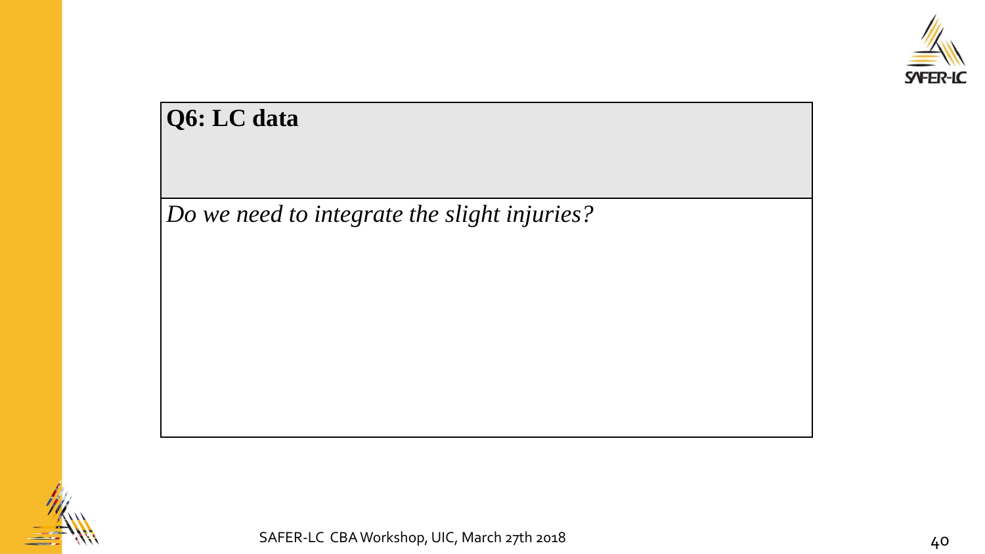

| Q6: LC data                                  |  |
|----------------------------------------------|--|
| Do we need to integrate the slight injuries? |  |
|                                              |  |
|                                              |  |
|                                              |  |
|                                              |  |
|                                              |  |
|                                              |  |

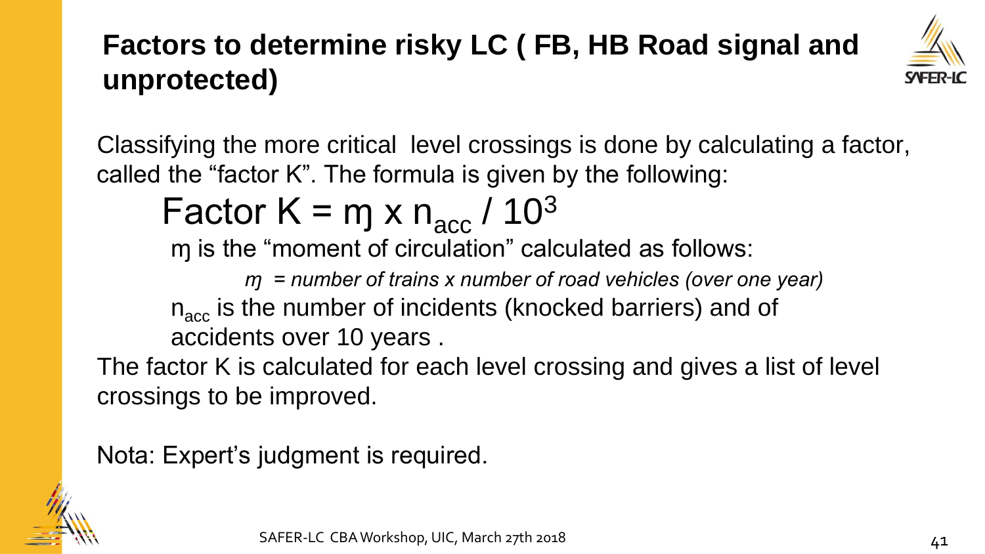## **Factors to determine risky LC ( FB, HB Road signal and unprotected)**



Classifying the more critical level crossings is done by calculating a factor, called the "factor K". The formula is given by the following:

Factor  $K = mg \times n_{\text{acc}} / 10^3$ 

ɱ is the "moment of circulation" calculated as follows:

*ɱ = number of trains x number of road vehicles (over one year)*

 $n_{\text{acc}}$  is the number of incidents (knocked barriers) and of accidents over 10 years .

The factor K is calculated for each level crossing and gives a list of level crossings to be improved.

Nota: Expert's judgment is required.

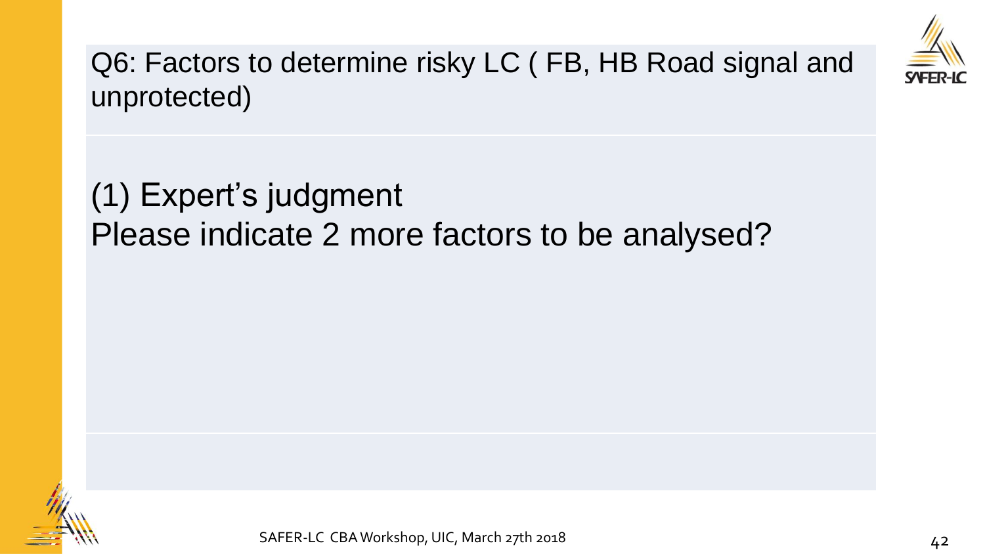

Q6: Factors to determine risky LC ( FB, HB Road signal and unprotected)

## (1) Expert's judgment Please indicate 2 more factors to be analysed?

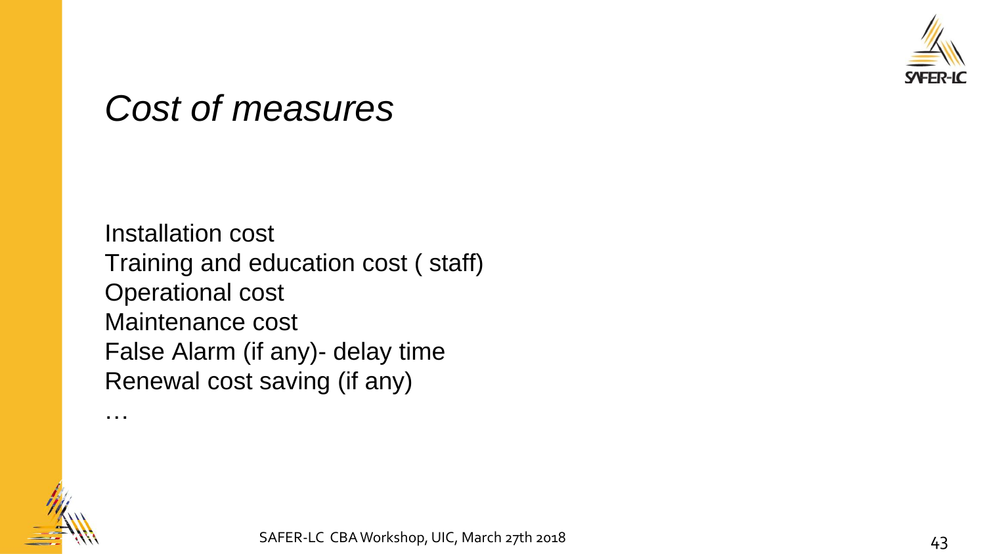

## *Cost of measures*

…

Installation cost Training and education cost ( staff) Operational cost Maintenance cost False Alarm (if any)- delay time Renewal cost saving (if any)

SAFER-LC CBA Workshop, UIC, March 27th 2018 43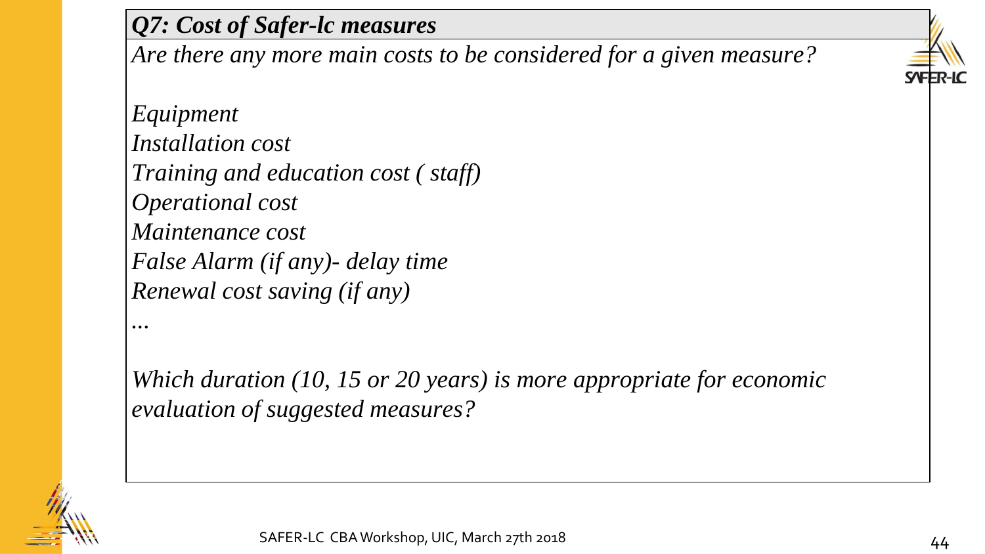### *Q7: Cost of Safer-lc measures*

*Are there any more main costs to be considered for a given measure?*



*Which duration (10, 15 or 20 years) is more appropriate for economic evaluation of suggested measures?*



*...*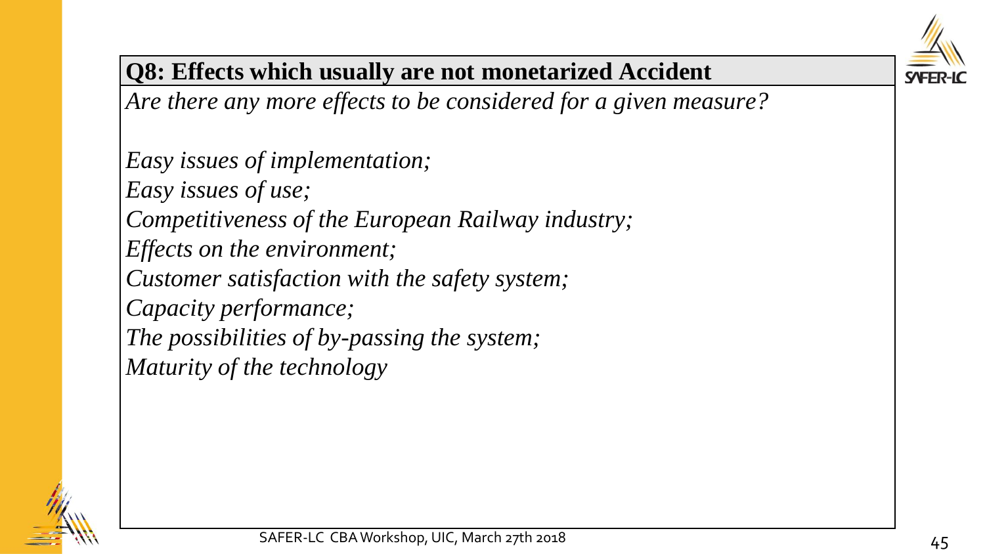

### **Q8: Effects which usually are not monetarized Accident**

*Are there any more effects to be considered for a given measure?*

*Easy issues of implementation; Easy issues of use; Competitiveness of the European Railway industry; Effects on the environment; Customer satisfaction with the safety system; Capacity performance; The possibilities of by-passing the system; Maturity of the technology*

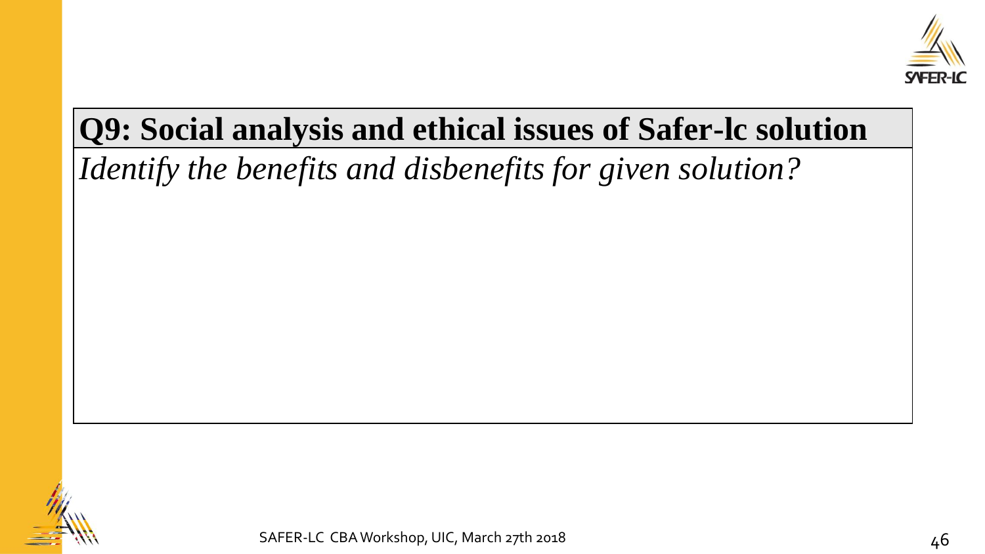

## **Q9: Social analysis and ethical issues of Safer-lc solution**

*Identify the benefits and disbenefits for given solution?*

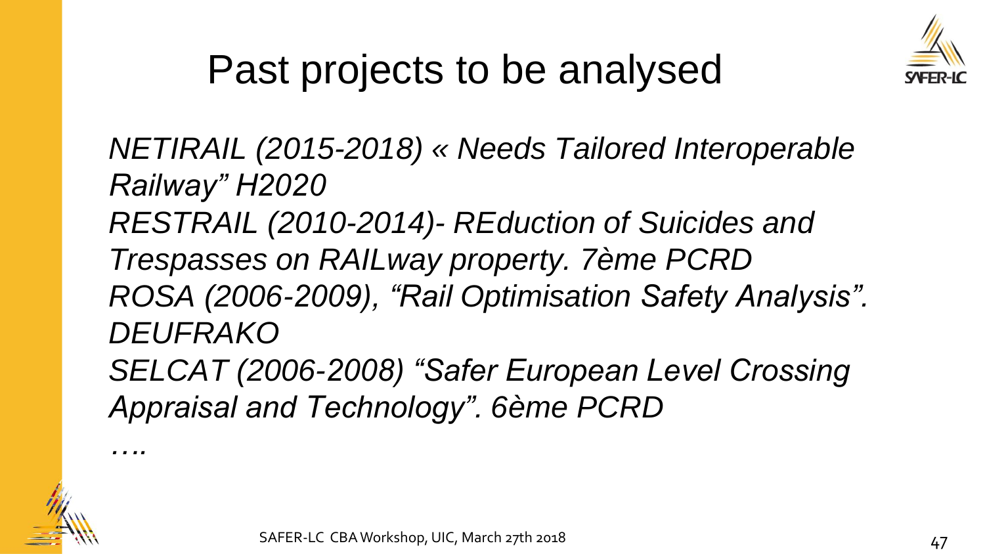

## Past projects to be analysed

*NETIRAIL (2015-2018) « Needs Tailored Interoperable Railway" H2020*

*RESTRAIL (2010-2014)- REduction of Suicides and* 

*Trespasses on RAILway property. 7ème PCRD ROSA (2006-2009), "Rail Optimisation Safety Analysis". DEUFRAKO*

*SELCAT (2006-2008) "Safer European Level Crossing Appraisal and Technology". 6ème PCRD*



*….*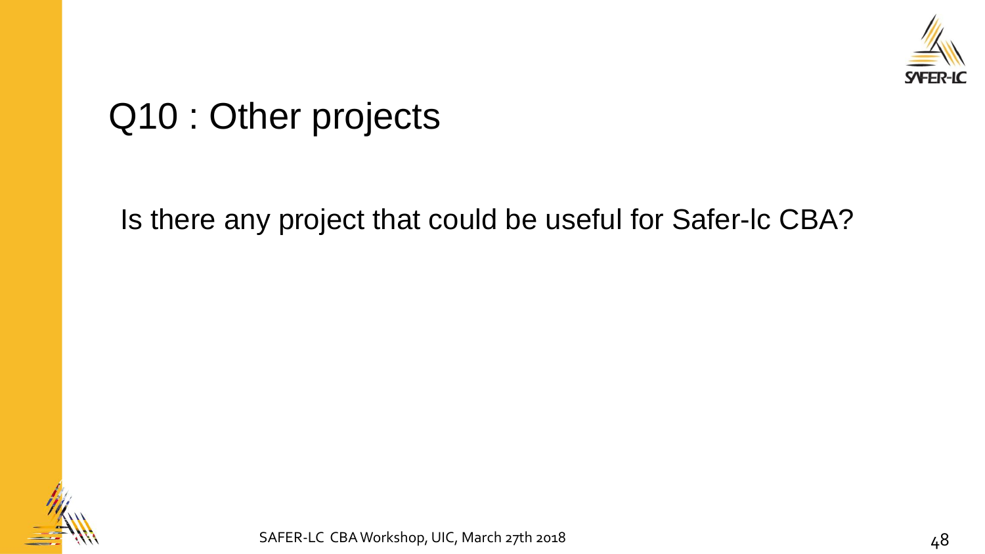

## Q10 : Other projects

Is there any project that could be useful for Safer-lc CBA?